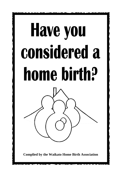# **Have you** considered a home birth?



**Complied by the Waikato Home Birth Association**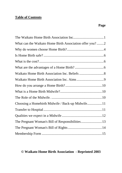# **Table of Contents**

| What can the Waikato Home Birth Association offer you?2 |
|---------------------------------------------------------|
|                                                         |
|                                                         |
|                                                         |
|                                                         |
|                                                         |
|                                                         |
|                                                         |
|                                                         |
|                                                         |
| Choosing a Homebirth Midwife / Back-up Midwife11        |
|                                                         |
|                                                         |
| The Pregnant Woman's Bill of Responsibilities13         |
|                                                         |
|                                                         |

# **© Waikato Home Birth Association - Reprinted 2003**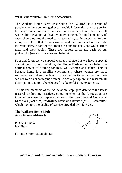#### **What is the Waikato Home Birth Association?**

The Waikato Home Birth Association Inc (WHBA) is a group of people who have come together to provide information and support for birthing women and their families. Our basic beliefs are that for well women birth is a normal, healthy, active process that in the majority of cases should not require medical or technological intervention. Further more, we believe that birthing women and their partners have the right to retain ultimate control over their birth and the decisions which affect them and their bodies. These two beliefs forms the basis of our philosophy (see also our aims and beliefs).

First and foremost we support women's choice but we have a special commitment to, and belief in, the Home Birth option as being the optimal choice of birthing for most well women and babies. This is because home is a familiar environment, where women are most supported and where the family is retained in its proper context. We see our role as encouraging women to actively explore and research all their options and to make choices for a better birthing experience.

To this end members of the Association keep up to date with the latest research on birthing practices. Some members of the Association are involved as consumer representatives on the New Zealand College of Midwives (NZCOM) Midwifery Standards Review (MSR) Committee which monitors the quality of service provided by midwives.

**The Waikato Home Birth Associations address is:** 

P O Box 15043 Hamilton

For more information phone:

**or take a look at our website: www.homebirth.org.nz**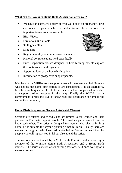# **What can the Waikato Home Birth Association offer you?**

- We have an extensive library of over 230 books on pregnancy, birth and related topics which is available to members. Reprints on important issues are also available
- Birth Videos
- Hire of our Birth Pools
- Sibling Kit Hire
- Sling Hire
- Regular monthly newsletters to all members
- National conferences are held periodically
- Birth Preparation classes designed to help birthing parents explore their options are held regularly
- Support to look at the home birth option
- Information to prospective support people.

Members of the WHBA are a support network for women and their Partners who choose the home birth option or are considering it as an alternative. Members are frequently asked to be advocates and we are pleased to be able to support birthing couples in this way. Finally the WHBA has a commitment to raise the level of knowledge and acceptance of home births within the community.

### **Home Birth Preparation Series (Ante-Natal Classes)**

Sessions are relaxed and friendly and are limited to ten women and their partners and/or their support people. This enables participants to get to know each other. The series is designed for women who plan to birth at home but is suitable for anyone planning a natural birth. Usually there are women in the group who have had babies before. We recommend that the people who will support you in labour also attend the series.

The sessions are facilitated by a Child Birth Educator and assisted by a member of the Waikato Home Birth Association and a Home Birth midwife. The series consists of six evening sessions, held once weekly or a weekend series.

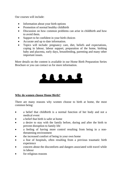Our courses will include:

- Information about your birth options
- Promotion of normal healthy childbirth
- Discussion on how common problems can arise in childbirth and how to avoid them.
- Support to be confident in your birth choices
- Accurate and up to date information.
- Topics will include: pregnancy care, diet, beliefs and expectations, coping in labour, labour support, preparation of the home, birthing baby and placenta, early days, breastfeeding, parenting and many other important issues.

More details on the content is available in our Home Birth Preparation Series Brochure or you can contact us for more information.



### **Why do women choose Home Birth?**

There are many reasons why women choose to birth at home, the most common being:

- a belief that childbirth is a normal function of her body and not a medical event
- a belief that birth is safer at home
- a desire to stay with the family before, during and after the birth to prevent disruption to family life
- a feeling of having more control resulting from being in a nonthreatening environment
- the increased comfort of being in your own home
- a fear of hospitals, often resulting from a previous traumatic birth experience
- concern about the discomforts and dangers associated with travel while in labour
- for religious reasons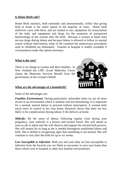#### **Is Home Birth safe?**

Home Birth statistics, both nationally and internationally, reflect that giving birth at home is the safest option in the majority of cases. Home birth midwives carry with them, and are trained to use, equipment for resuscitation of the baby and equipment and drugs for the treatment of unexpected haemorrhage of the woman after the birth. Because a women at home does not use drugs during labour and because labour is allowed to follow its normal course without intervention, some of the common but unnecessary procedures used in childbirth are eliminated. Transfer to hospital is readily available if circumstances make this option necessary.

#### **What is the cost?**

There is no charge to women and their families. In New Zealand the LMC (Lead Maternity Carer) claims the Maternity Services Benefit from the government on the woman's behalf.



### **What are the advantages of a homebirth?**

Some of the advantages are:

*Familiar Environment:* During particularly vulnerable times we are all more secure in an environment which is familiar and non-threatening. It is important for a normal, natural labour to proceed without interruption. A woman feels much more in control in her own home. Research shows that there are less likely to be complications during labour if she delivers at home.

*Midwife*: By the onset of labour, following regular visits during your pregnancy, your midwife is a known and trusted friend. She will attend as soon as she is asked and she will observe and support the normal birth process. She will remain for as long as she is needed throughout established labour and birth. She is skilled in recognising signs that something is not normal. She will continue to visit after the birth for up to six weeks.

*Less Susceptible to Infection:* Both you and your baby are less susceptible to infection from the bacteria you are likely to encounter in your own home than those which exist in hospital or other less familiar environments.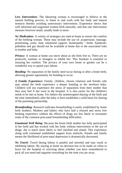*Less Intervention:* The labouring woman is encouraged to believe in the natural birthing process, to listen to and work with her body and natural instincts thereby avoiding unnecessary intervention. Experience shows that well informed and supported women birth naturally, and that one intervention measure however small, usually leads to more.

*No Medication:* A variety of strategies are used at home to ensure the comfort of the birthing woman. These may include the use of: acupressure, massage, positioning, water, heat, emotional support, homeopathy / herbs. Epidurals, pethidine and gas should not be available at home due to the associated risks to mother and baby.

*Privacy:* A woman at home can move about as she feels free to. There are no protocols, routines or strangers to inhibit her. This freedom is essential to ensuring her comfort. The privacy of your own home or garden can be a wonderful way to spend your labour.

*Bonding:* No separation of the family need occur during or after a home birth, allowing greater opportunity for bonding to occur.

*A Family Experience:* Family, children, chosen relations and friends who may attend the birth experience a deeper bonding to the newborn baby. Children will not experience the stress of separation from their mother that they may feel if she were in the hospital. It is also easier for the children's needs to be met at home. For fathers the uninterrupted sharing of the birth and the time immediately after the baby is born establishes a solid basis for sharing of the parenting partnership.

*Breastfeeding:* Research indicates breastfeeding is easily established by home birth mothers. Mothers and babies who have had a relaxed and stress free birthing experience without the effects of drugs are less likely to encounter some of the common post-natal breastfeeding difficulties.

*Emotional Well Being:* Because the home birth mother has fully participated in her birth and has worked with her body without intervention or the use of drugs, she is much more likely to feel satisfied and elated. This experience along with continued established support from midwife, friends and family means the likelihood of post-natal depression is dramatically decreased.

*No Travel:* Travel during labour is painful and stressful and may result in inhibiting labour. By staying at home no decision has to be made on when to leave for the hospital or worrying about whether you have remembered to pack all you need and organise everything for the time you are away.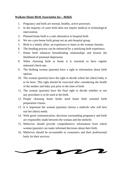#### **Waikato Home Birth Association Inc—Beliefs**

- 1. Pregnancy and birth are normal, healthy, active processes.
- 2. In the majority of cases birth does not require medical or technological intervention.
- 3. Planned home birth is a safe alternative to hospital birth.
- 4. We are a pro-home birth group not an anti-hospital group.
- 5. Birth is a family affair, an experience to share as the woman chooses.
- 6. The bonding process can be enhanced by a satisfying birth experience.
- 7. Home birth enhances breastfeeding relationships and lessens the likelihood of postnatal depression.
- 8. When choosing birth at home it is essential to have regular antenatal check-ups.
- 9. The birthing woman (parents) have a right to information about birth options.
- 10. The woman (parents) have the right to decide where her (their) baby is to be born. This right should be exercised after considering the health of the mother and baby just prior to the time of birth.
- 11. The woman (parents) have the final right to decide whether or not any procedure is to be used at the birth.
- 12. People choosing home births need home birth oriented birth preparation classes.
- 13. It is important the woman (parents) choose a midwife who will best suit her (their) needs.
- 14. With good communication, decisions surrounding pregnancy and birth are responsibly made between the woman and the midwife.
- 15. Midwives should provide comprehensive information from which women (parents) can make informed decisions about their birth.
- 16. Midwives should be accountable to consumers and their professional body for their services.

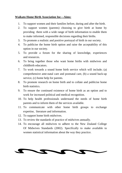#### **Waikato Home Birth Association Inc—Aims:**

- 1. To support women and their families before, during and after the birth.
- 2. To support women (parents) choosing to give birth at home by providing them with a wide range of birth information to enable them to make informed, responsible decisions regarding their births.
- 3. To promote a realistic and positive portrayal of birth in our society.
- 4. To publicise the home birth option and raise the acceptability of this option in our society.
- 5. To provide a forum for the sharing of knowledge, experiences and resources.
- 6. To bring together those who want home births with midwives and childbirth educators.
- 7. To work towards a sound home birth service which will include; (a) comprehensive ante-natal care and postnatal care, (b) a sound back-up service, (c) home help for parents.
- 8. To promote research on home birth and to collate and publicise home birth statistics.
- 9. To ensure the continued existence of home birth as an option and to work for increased political and medical recognition.
- 10. To help health professionals understand the needs of home birth parents and to inform them of the services available.
- 11. To communicate with other home birth groups to exchange expertise, literature and information.
- 12. To support home birth midwives.
- 13. To review the standards of practice of midwives annually.
- 14. To encourage all midwives to adhere to the New Zealand College Of Midwives Standards (2002). Specifically to make available to women statistical information about the way they practice.

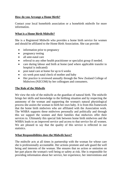## **How do you Arrange a Home Birth?**

Contact your local homebirth association or a homebirth midwife for more information.

# **What is a Home Birth Midwife?**

She is a Registered Midwife who provides a home birth service for women and should be affiliated to the Home Birth Association. She can provide:

- information prior to pregnancy
- pregnancy testing
- all ante-natal care
- referral to any other health practitioner or specialist group if needed.
- care during labour and birth at home (and where applicable transfer to hospital is indicated)
- post natal care at home for up to 6 weeks
- six week post natal check of mother and baby
- Her practice is reviewed annually through the New Zealand College of Midwives (NZCOM) by her colleagues and consumers.

# **The Role of the Midwife**

We view the role of the midwife as the guardian of natural birth. The midwife brings her skills and knowledge to the birthing situation and by respecting the autonomy of the woman and supporting the woman's natural physiological process she assists the woman to birth her own baby. It is from this framework that the home birth midwives who are affiliated with the Association work. The WHBA supports these midwives personally and politically and through this we support the women and their families that midwives offer their services to. Ultimately this special link between home birth midwives and the WHBA leads to an improved service and access to that service for all women. We are pleased to say that the quality of this service is reflected in our statistics.

### **What Responsibilities does the Midwife have?**

The midwife acts at all times in partnership with the woman for whose care she is professionally accountable. Her actions promote and safe guard the well being and interests of the woman. She ensures that no action or omission on her part places the woman's well being or safety at risk. She is responsible for providing information about her service, her experience, her interventions and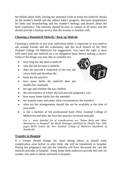her beliefs about birth. During her antenatal visits at home the midwife checks on the mother's health and the unborn baby's progress, discusses preparations for birth and breastfeeding and the mother's feelings and desires about the birth experience. The midwife should be easy to contact at all times and she should provide a backup service that the woman is familiar with.

### **Choosing a Homebirth Midwife / Back up Midwife**

Choosing a midwife to suit your individual needs is important so you need to ask around friends and the community and the local branch of the New Zealand College Of Midwives for suggestions. You have the right to meet with more than one midwife on a no obligation basis before making a choice. Some of the things you may like to consider are:

- how long has she been a midwife
- why did she become a midwife
- does she provide a statement of the way she views birth and therefore the
- basis for her practice
- how many births the midwife does per month (her caseload)
- her age and whether she has children
- the convenience of where she will provide pregnancy care
- how many home births has she attended
- her transfer rates and under what circumstances she transfers
- what are her arrangements should she not be available at the time of your birth.
- is she a member of her professional body (New Zealand College of Midwives) and does she have her practice reviewed annually.

*For a more detailed list of considerations see "Home Birth and Other Alternatives to Hospital" By Sheila Kitzinger published by Double Day 1991 pages 80-81 and/or the New Zealand College of Midwives Handbook of Standards)* 

# **Transfer to Hospital**

If a woman should change her mind during labour or should some complication arise before or after birth, she will be transferred to hospital. During her pregnancy she and the midwife will have discussed the care the midwife provides in hospital. Some home birth midwives provide full care for women who plan to labour and birth in hospital.

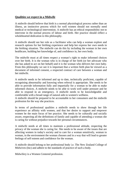#### **Qualities we expect in a Midwife**

A midwife should believe that birth is a normal physiological process rather than an illness, an instinctive process which for well women should not normally need medical or technological intervention. A midwife has an ethical responsibility not to intervene in the normal process of labour and birth. Her practice should reflect a wholehearted dedication to this philosophy.

A midwife should see her role as a facilitator who can help a woman explore and research options for her birthing experience and help her express her own needs in the birthing situation. The midwife can do this by including the woman in her own healthcare, building her knowledge of, and confidence in, her own body.

The midwife must at all times respect a woman's right to make informed choices over her birth. It is the woman who is in charge of her birth (or her advocate who she has asked to act on her behalf) and it is the woman who delivers her own baby. From this philosophy we see it is important that a written birth plan be viewed as a document of informed consent, a respected contract of care between a woman and her midwife.

A midwife needs to be informed and up to date, technically proficient, capable of recognising abnormality and knowing when referral is appropriate. She needs to be able to provide information fully and impartially for a woman to be able to make informed choices. A midwife needs to be able to work well under pressure and be able to respond in an emergency. A midwife needs to be knowledgeable and comfortable with a broad range of natural aids to women's wellness.

A midwife should be prepared to be accountable to her consumers and the midwife profession for the way she practices.

In terms of professional qualities a midwife needs to show through her life experience an affinity with women, and that her desire to support and empower women be the main focus of her practice. She needs to be culturally and socially aware, respecting all the definitions of family and capable of attending a woman she is caring for without prejudice towards her personal circumstances.

A midwife needs at all times to maintain a professional attitude, respecting the privacy of the woman she is caring for. She needs to be aware of the issues that are affecting women in today's society and to care for a woman sensitively, woman to woman, in the environment the woman chooses and in a way that will lead to greater feelings of self esteem and confidence for the woman.

A midwife should belong to her professional body i.e. The New Zealand College of Midwives (Inc) and adhere to the standards of practice of such a body.

Midwifery is a Women Centered profession.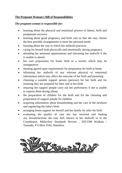# **The Pregnant Woman's Bill of Responsibilities**

#### *The pregnant woman is responsible for:*

- learning about the physical and emotional process of labour, birth and postpartum recovery
- learning about good pregnancy and birth care so that she may choose the best possible arrangements to meet her personal needs
- learning about the way in which her midwife practices
- caring for herself both physically and emotionally during pregnancy
- attending her antenatal appointments and informing her midwife if she is unable to attend
- her own preparation for home birth in a society which may be unsupportive
- meeting agreed upon requirements for preparation for birth at home
- informing her midwife of any relevant physical or emotional information which may affect the outcome of her birth and parenting
- choosing a suitable support person (persons) for her birth and for ensuring they are prepared for their role at her birth
- ensuring her support people carry out her preferences if she is unable to express them during labour
- the preparation of children for the birth and for the choosing and preparation of support people for children
- acquiring information about breastfeeding and the care of the newborn and registering the baby's birth
- arranging home support for herself and her family for after the birth
- evaluating the quality of care she has received and making any dissatisfactions she may feel, known to her midwife or to the Coordinator, Midwifery Standards Review , NZCOM Waikato / Taranaki, P.O.Box 5542, Hamilton.

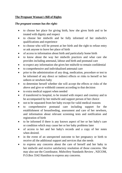## **The Pregnant Woman's Bill of Rights**

#### *The pregnant woman has the right:*

- to choose her place for giving birth, how she gives birth and to be treated with dignity and respect
- to choose her midwife and be fully informed of her midwife's qualifications and experience
- to choose who will be present at her birth and the right to refuse entry or ask anyone to leave her place of birth
- of access to information about birth and particularly home birth
- to know about the way her midwife practices and what care she provides including antenatal, labour and birth and postnatal care
- to expect any information she gives her midwife to remain confidential
- to comprehensive and individualised antenatal care
- prior to the administration of any drug, medication, procedure or test to be informed of any direct or indirect effects or risks to herself or her unborn or newborn baby
- to determine herself whether she will accept the effects or risks of the above and give or withhold consent according to that decision
- to extra medical support when needed
- if transferred to hospital, to be treated with respect and courtesy and to be accompanied by her midwife and support person of her choice
- not to be separated from her baby except for valid medical reasons
- to comprehensive postnatal care including support for the establishment of breastfeeding, assessment and care of her newborn, and information about relevant screening tests and notification and registration of birth
- to be informed if there is any known aspect of her or her baby's care or condition which may cause her or her baby problems later
- of access to her and her baby's records and a copy of her notes when desired.
- in the event of an unexpected outcome to her pregnancy or birth to receive all the additional support and services that she needs
- to express any concerns about the care of herself and her baby to her midwife and receive satisfactory resolution of those concerns. She may also use the Coordinator, Midwifery Standards Review , NZCOM, P.O.Box 5542 Hamilton to express any concerns.